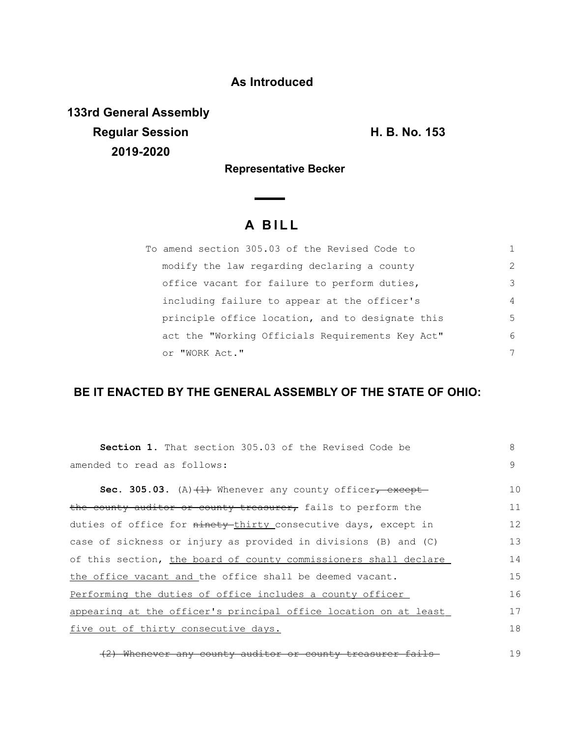## **As Introduced**

**133rd General Assembly Regular Session H. B. No. 153 2019-2020**

**Representative Becker**

## **A B I L L**

| To amend section 305.03 of the Revised Code to   |                |
|--------------------------------------------------|----------------|
| modify the law regarding declaring a county      | $\mathcal{L}$  |
| office vacant for failure to perform duties,     | 3              |
| including failure to appear at the officer's     | $\overline{4}$ |
| principle office location, and to designate this | 5              |
| act the "Working Officials Requirements Key Act" | 6              |
| or "WORK Act."                                   | 7              |

## **BE IT ENACTED BY THE GENERAL ASSEMBLY OF THE STATE OF OHIO:**

| <b>Section 1.</b> That section 305.03 of the Revised Code be     | 8              |  |  |
|------------------------------------------------------------------|----------------|--|--|
| amended to read as follows:                                      |                |  |  |
| Sec. 305.03. (A) $(1)$ Whenever any county officer, except       | 1 <sub>0</sub> |  |  |
|                                                                  |                |  |  |
| the county auditor or county treasurer, fails to perform the     | 11             |  |  |
| duties of office for ninety thirty consecutive days, except in   | 12             |  |  |
| case of sickness or injury as provided in divisions (B) and (C)  | 13             |  |  |
| of this section, the board of county commissioners shall declare | 14             |  |  |
| the office vacant and the office shall be deemed vacant.         |                |  |  |
| Performing the duties of office includes a county officer        |                |  |  |
| appearing at the officer's principal office location on at least | 17             |  |  |
| five out of thirty consecutive days.                             |                |  |  |
|                                                                  |                |  |  |

(2) Whenever any county auditor or county treasurer fails 19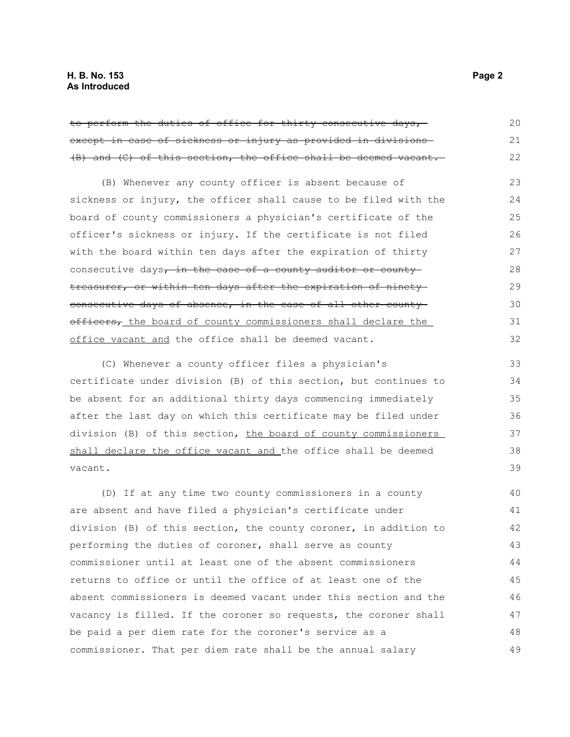| to perform the duties of office for thirty consecutive days, -            | 20 |  |  |
|---------------------------------------------------------------------------|----|--|--|
| except in case of sickness or injury as provided in divisions-            |    |  |  |
| (B) and (C) of this section, the office shall be deemed vacant.           | 22 |  |  |
| (B) Whenever any county officer is absent because of                      | 23 |  |  |
| sickness or injury, the officer shall cause to be filed with the          | 24 |  |  |
| board of county commissioners a physician's certificate of the            | 25 |  |  |
| officer's sickness or injury. If the certificate is not filed             | 26 |  |  |
| with the board within ten days after the expiration of thirty             | 27 |  |  |
| consecutive days <del>, in the case of a county auditor or county -</del> | 28 |  |  |
| <del>treasurer, or within ten days after the expiration of ninety-</del>  | 29 |  |  |
| <u>consecutive days of absence, in the case of all other county-</u>      | 30 |  |  |
| officers, the board of county commissioners shall declare the             | 31 |  |  |
| office vacant and the office shall be deemed vacant.                      | 32 |  |  |
| (C) Whenever a county officer files a physician's                         | 33 |  |  |
| certificate under division (B) of this section, but continues to          | 34 |  |  |
| be absent for an additional thirty days commencing immediately            | 35 |  |  |
| after the last day on which this certificate may be filed under           | 36 |  |  |
| division (B) of this section, <u>the board of county commissioners </u>   | 37 |  |  |
| shall declare the office vacant and the office shall be deemed            | 38 |  |  |
| vacant.                                                                   | 39 |  |  |
| (D) If at any time two county commissioners in a county                   | 40 |  |  |
| are absent and have filed a physician's certificate under                 | 41 |  |  |
| division (B) of this section, the county coroner, in addition to          | 42 |  |  |
| performing the duties of coroner, shall serve as county                   | 43 |  |  |
| commissioner until at least one of the absent commissioners               | 44 |  |  |
| returns to office or until the office of at least one of the              | 45 |  |  |
| absent commissioners is deemed vacant under this section and the          | 46 |  |  |

be paid a per diem rate for the coroner's service as a commissioner. That per diem rate shall be the annual salary 48 49

vacancy is filled. If the coroner so requests, the coroner shall

47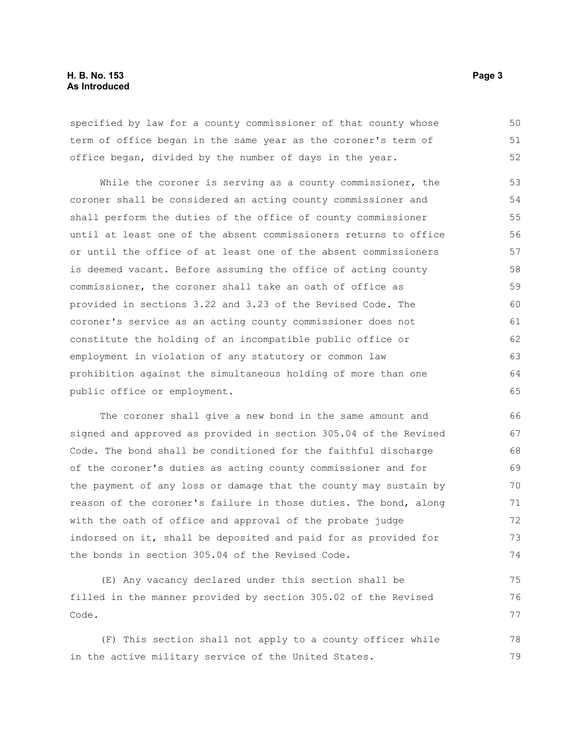## **H. B. No. 153 Page 3 As Introduced**

specified by law for a county commissioner of that county whose term of office began in the same year as the coroner's term of office began, divided by the number of days in the year. 50 51 52

While the coroner is serving as a county commissioner, the coroner shall be considered an acting county commissioner and shall perform the duties of the office of county commissioner until at least one of the absent commissioners returns to office or until the office of at least one of the absent commissioners is deemed vacant. Before assuming the office of acting county commissioner, the coroner shall take an oath of office as provided in sections 3.22 and 3.23 of the Revised Code. The coroner's service as an acting county commissioner does not constitute the holding of an incompatible public office or employment in violation of any statutory or common law prohibition against the simultaneous holding of more than one public office or employment. 53 54 55 56 57 58 59 60 61 62 63 64 65

The coroner shall give a new bond in the same amount and signed and approved as provided in section 305.04 of the Revised Code. The bond shall be conditioned for the faithful discharge of the coroner's duties as acting county commissioner and for the payment of any loss or damage that the county may sustain by reason of the coroner's failure in those duties. The bond, along with the oath of office and approval of the probate judge indorsed on it, shall be deposited and paid for as provided for the bonds in section 305.04 of the Revised Code.

(E) Any vacancy declared under this section shall be filled in the manner provided by section 305.02 of the Revised Code. 75 76 77

(F) This section shall not apply to a county officer while in the active military service of the United States. 78 79